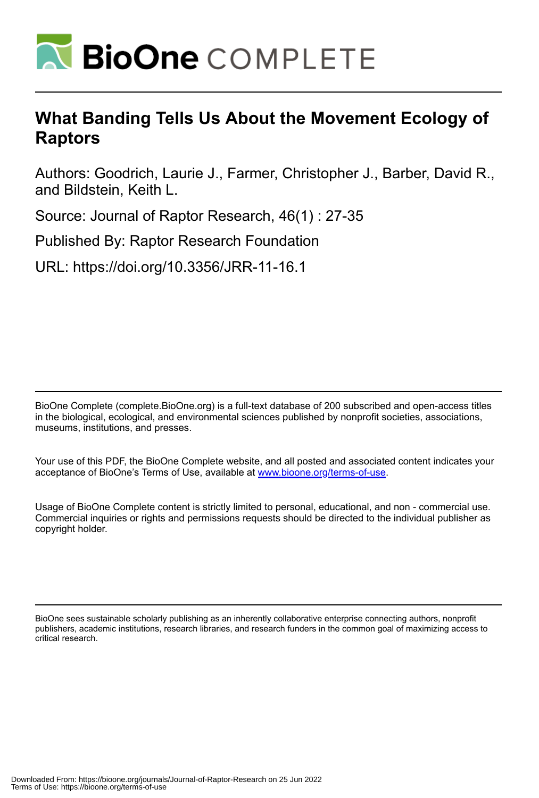

# **What Banding Tells Us About the Movement Ecology of Raptors**

Authors: Goodrich, Laurie J., Farmer, Christopher J., Barber, David R., and Bildstein, Keith L.

Source: Journal of Raptor Research, 46(1) : 27-35

Published By: Raptor Research Foundation

URL: https://doi.org/10.3356/JRR-11-16.1

BioOne Complete (complete.BioOne.org) is a full-text database of 200 subscribed and open-access titles in the biological, ecological, and environmental sciences published by nonprofit societies, associations, museums, institutions, and presses.

Your use of this PDF, the BioOne Complete website, and all posted and associated content indicates your acceptance of BioOne's Terms of Use, available at www.bioone.org/terms-of-use.

Usage of BioOne Complete content is strictly limited to personal, educational, and non - commercial use. Commercial inquiries or rights and permissions requests should be directed to the individual publisher as copyright holder.

BioOne sees sustainable scholarly publishing as an inherently collaborative enterprise connecting authors, nonprofit publishers, academic institutions, research libraries, and research funders in the common goal of maximizing access to critical research.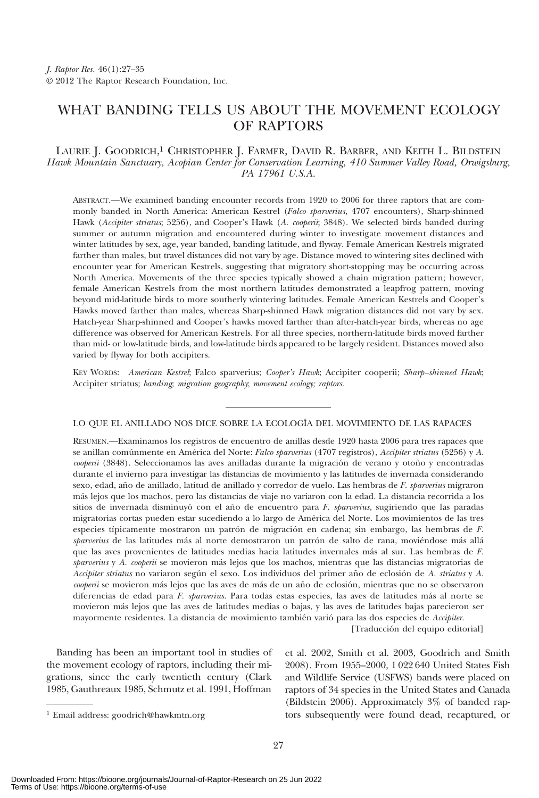# WHAT BANDING TELLS US ABOUT THE MOVEMENT ECOLOGY OF RAPTORS

## LAURIE J. GOODRICH,<sup>1</sup> CHRISTOPHER J. FARMER, DAVID R. BARBER, AND KEITH L. BILDSTEIN Hawk Mountain Sanctuary, Acopian Center for Conservation Learning, 410 Summer Valley Road, Orwigsburg, PA 17961 U.S.A.

ABSTRACT.—We examined banding encounter records from 1920 to 2006 for three raptors that are commonly banded in North America: American Kestrel (Falco sparverius, 4707 encounters), Sharp-shinned Hawk (Accipiter striatus; 5256), and Cooper's Hawk (A. cooperii; 3848). We selected birds banded during summer or autumn migration and encountered during winter to investigate movement distances and winter latitudes by sex, age, year banded, banding latitude, and flyway. Female American Kestrels migrated farther than males, but travel distances did not vary by age. Distance moved to wintering sites declined with encounter year for American Kestrels, suggesting that migratory short-stopping may be occurring across North America. Movements of the three species typically showed a chain migration pattern; however, female American Kestrels from the most northern latitudes demonstrated a leapfrog pattern, moving beyond mid-latitude birds to more southerly wintering latitudes. Female American Kestrels and Cooper's Hawks moved farther than males, whereas Sharp-shinned Hawk migration distances did not vary by sex. Hatch-year Sharp-shinned and Cooper's hawks moved farther than after-hatch-year birds, whereas no age difference was observed for American Kestrels. For all three species, northern-latitude birds moved farther than mid- or low-latitude birds, and low-latitude birds appeared to be largely resident. Distances moved also varied by flyway for both accipiters.

KEY WORDS: American Kestrel; Falco sparverius; Cooper's Hawk; Accipiter cooperii; Sharp-shinned Hawk; Accipiter striatus; banding; migration geography; movement ecology; raptors.

## LO QUE EL ANILLADO NOS DICE SOBRE LA ECOLOGI´A DEL MOVIMIENTO DE LAS RAPACES

RESUMEN.—Examinamos los registros de encuentro de anillas desde 1920 hasta 2006 para tres rapaces que se anillan comúnmente en América del Norte: *Falco sparverius* (4707 registros), Accipiter striatus (5256) y A. cooperii (3848). Seleccionamos las aves anilladas durante la migración de verano y otoño y encontradas durante el invierno para investigar las distancias de movimiento y las latitudes de invernada considerando sexo, edad, año de anillado, latitud de anillado y corredor de vuelo. Las hembras de F. sparverius migraron más lejos que los machos, pero las distancias de viaje no variaron con la edad. La distancia recorrida a los sitios de invernada disminuyó con el año de encuentro para F. sparverius, sugiriendo que las paradas migratorias cortas pueden estar sucediendo a lo largo de Ame´rica del Norte. Los movimientos de las tres especies típicamente mostraron un patrón de migración en cadena; sin embargo, las hembras de  $F$ . sparverius de las latitudes más al norte demostraron un patrón de salto de rana, moviéndose más allá que las aves provenientes de latitudes medias hacia latitudes invernales más al sur. Las hembras de F. sparverius y A. cooperii se movieron más lejos que los machos, mientras que las distancias migratorias de Accipiter striatus no variaron según el sexo. Los individuos del primer año de eclosión de A. striatus y A. cooperii se movieron más lejos que las aves de más de un año de eclosión, mientras que no se observaron diferencias de edad para F. sparverius. Para todas estas especies, las aves de latitudes más al norte se movieron más lejos que las aves de latitudes medias o bajas, y las aves de latitudes bajas parecieron ser mayormente residentes. La distancia de movimiento también varió para las dos especies de Accipiter.

[Traducción del equipo editorial]

Banding has been an important tool in studies of the movement ecology of raptors, including their migrations, since the early twentieth century (Clark 1985, Gauthreaux 1985, Schmutz et al. 1991, Hoffman

et al. 2002, Smith et al. 2003, Goodrich and Smith 2008). From 1955–2000, 1 022 640 United States Fish and Wildlife Service (USFWS) bands were placed on raptors of 34 species in the United States and Canada (Bildstein 2006). Approximately 3% of banded rap-<sup>1</sup> Email address: goodrich@hawkmtn.org **1 Email address: goodrich@hawkmtn.org 1 Email address: goodrich@hawkmtn.org**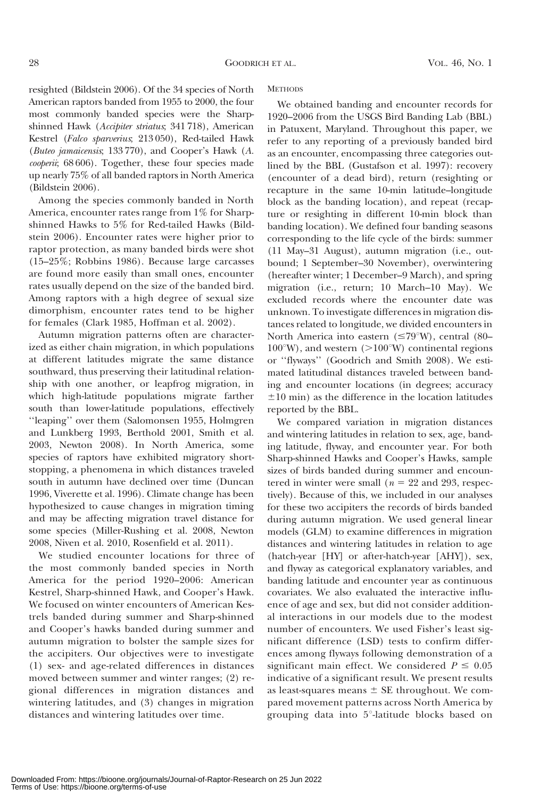resighted (Bildstein 2006). Of the 34 species of North American raptors banded from 1955 to 2000, the four most commonly banded species were the Sharpshinned Hawk (Accipiter striatus; 341 718), American Kestrel (Falco sparverius; 213 050), Red-tailed Hawk (Buteo jamaicensis; 133 770), and Cooper's Hawk (A. cooperii; 68 606). Together, these four species made up nearly 75% of all banded raptors in North America (Bildstein 2006).

Among the species commonly banded in North America, encounter rates range from 1% for Sharpshinned Hawks to 5% for Red-tailed Hawks (Bildstein 2006). Encounter rates were higher prior to raptor protection, as many banded birds were shot (15–25%; Robbins 1986). Because large carcasses are found more easily than small ones, encounter rates usually depend on the size of the banded bird. Among raptors with a high degree of sexual size dimorphism, encounter rates tend to be higher for females (Clark 1985, Hoffman et al. 2002).

Autumn migration patterns often are characterized as either chain migration, in which populations at different latitudes migrate the same distance southward, thus preserving their latitudinal relationship with one another, or leapfrog migration, in which high-latitude populations migrate farther south than lower-latitude populations, effectively ''leaping'' over them (Salomonsen 1955, Holmgren and Lunkberg 1993, Berthold 2001, Smith et al. 2003, Newton 2008). In North America, some species of raptors have exhibited migratory shortstopping, a phenomena in which distances traveled south in autumn have declined over time (Duncan 1996, Viverette et al. 1996). Climate change has been hypothesized to cause changes in migration timing and may be affecting migration travel distance for some species (Miller-Rushing et al. 2008, Newton 2008, Niven et al. 2010, Rosenfield et al. 2011).

We studied encounter locations for three of the most commonly banded species in North America for the period 1920–2006: American Kestrel, Sharp-shinned Hawk, and Cooper's Hawk. We focused on winter encounters of American Kestrels banded during summer and Sharp-shinned and Cooper's hawks banded during summer and autumn migration to bolster the sample sizes for the accipiters. Our objectives were to investigate (1) sex- and age-related differences in distances moved between summer and winter ranges; (2) regional differences in migration distances and wintering latitudes, and (3) changes in migration distances and wintering latitudes over time.

METHODS

We obtained banding and encounter records for 1920–2006 from the USGS Bird Banding Lab (BBL) in Patuxent, Maryland. Throughout this paper, we refer to any reporting of a previously banded bird as an encounter, encompassing three categories outlined by the BBL (Gustafson et al. 1997): recovery (encounter of a dead bird), return (resighting or recapture in the same 10-min latitude–longitude block as the banding location), and repeat (recapture or resighting in different 10-min block than banding location). We defined four banding seasons corresponding to the life cycle of the birds: summer (11 May–31 August), autumn migration (i.e., outbound; 1 September–30 November), overwintering (hereafter winter; 1 December–9 March), and spring migration (i.e., return; 10 March–10 May). We excluded records where the encounter date was unknown. To investigate differences in migration distances related to longitude, we divided encounters in North America into eastern  $(\leq 79^{\circ}W)$ , central (80–  $100^{\circ}$ W), and western ( $>100^{\circ}$ W) continental regions or ''flyways'' (Goodrich and Smith 2008). We estimated latitudinal distances traveled between banding and encounter locations (in degrees; accuracy  $\pm 10$  min) as the difference in the location latitudes reported by the BBL.

We compared variation in migration distances and wintering latitudes in relation to sex, age, banding latitude, flyway, and encounter year. For both Sharp-shinned Hawks and Cooper's Hawks, sample sizes of birds banded during summer and encountered in winter were small ( $n = 22$  and 293, respectively). Because of this, we included in our analyses for these two accipiters the records of birds banded during autumn migration. We used general linear models (GLM) to examine differences in migration distances and wintering latitudes in relation to age (hatch-year [HY] or after-hatch-year [AHY]), sex, and flyway as categorical explanatory variables, and banding latitude and encounter year as continuous covariates. We also evaluated the interactive influence of age and sex, but did not consider additional interactions in our models due to the modest number of encounters. We used Fisher's least significant difference (LSD) tests to confirm differences among flyways following demonstration of a significant main effect. We considered  $P \leq 0.05$ indicative of a significant result. We present results as least-squares means  $\pm$  SE throughout. We compared movement patterns across North America by grouping data into 5°-latitude blocks based on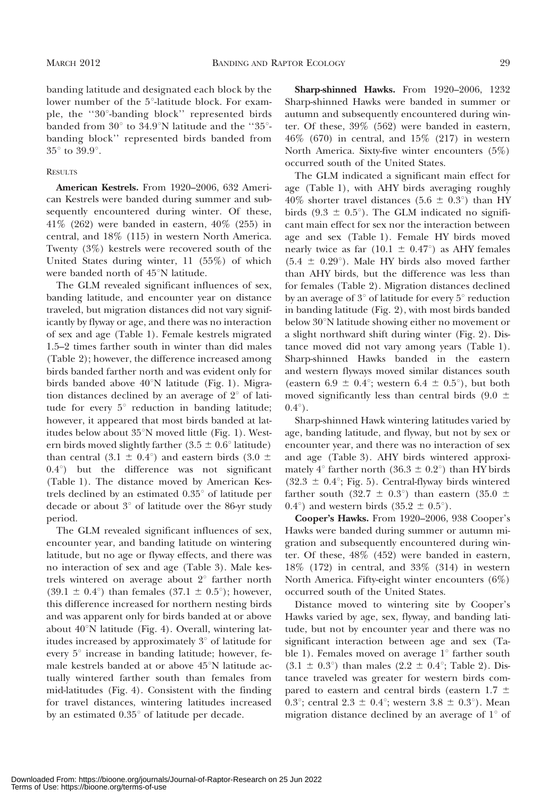banding latitude and designated each block by the lower number of the 5°-latitude block. For example, the "30°-banding block" represented birds banded from  $30^{\circ}$  to  $34.9^{\circ}$ N latitude and the "35 $^{\circ}$ banding block'' represented birds banded from  $35^\circ$  to  $39.9^\circ$ .

#### RESULTS

American Kestrels. From 1920–2006, 632 American Kestrels were banded during summer and subsequently encountered during winter. Of these, 41% (262) were banded in eastern, 40% (255) in central, and 18% (115) in western North America. Twenty (3%) kestrels were recovered south of the United States during winter, 11 (55%) of which were banded north of 45°N latitude.

The GLM revealed significant influences of sex, banding latitude, and encounter year on distance traveled, but migration distances did not vary significantly by flyway or age, and there was no interaction of sex and age (Table 1). Female kestrels migrated 1.5–2 times farther south in winter than did males (Table 2); however, the difference increased among birds banded farther north and was evident only for birds banded above  $40^{\circ}$ N latitude (Fig. 1). Migration distances declined by an average of  $2^{\circ}$  of latitude for every  $5^\circ$  reduction in banding latitude; however, it appeared that most birds banded at latitudes below about  $35^{\circ}$ N moved little (Fig. 1). Western birds moved slightly farther  $(3.5 \pm 0.6^{\circ} \text{ latitude})$ than central (3.1  $\pm$  0.4°) and eastern birds (3.0  $\pm$  $(0.4^{\circ})$  but the difference was not significant (Table 1). The distance moved by American Kestrels declined by an estimated  $0.35^{\circ}$  of latitude per decade or about  $3^{\circ}$  of latitude over the 86-yr study period.

The GLM revealed significant influences of sex, encounter year, and banding latitude on wintering latitude, but no age or flyway effects, and there was no interaction of sex and age (Table 3). Male kestrels wintered on average about  $2^{\circ}$  farther north  $(39.1 \pm 0.4^{\circ})$  than females  $(37.1 \pm 0.5^{\circ})$ ; however, this difference increased for northern nesting birds and was apparent only for birds banded at or above about  $40^{\circ}$ N latitude (Fig. 4). Overall, wintering latitudes increased by approximately  $3^{\circ}$  of latitude for every  $5^\circ$  increase in banding latitude; however, female kestrels banded at or above 45°N latitude actually wintered farther south than females from mid-latitudes (Fig. 4). Consistent with the finding for travel distances, wintering latitudes increased by an estimated  $0.35^{\circ}$  of latitude per decade.

Sharp-shinned Hawks. From 1920–2006, 1232 Sharp-shinned Hawks were banded in summer or autumn and subsequently encountered during winter. Of these, 39% (562) were banded in eastern, 46% (670) in central, and 15% (217) in western North America. Sixty-five winter encounters (5%) occurred south of the United States.

The GLM indicated a significant main effect for age (Table 1), with AHY birds averaging roughly 40% shorter travel distances (5.6  $\pm$  0.3°) than HY birds (9.3  $\pm$  0.5°). The GLM indicated no significant main effect for sex nor the interaction between age and sex (Table 1). Female HY birds moved nearly twice as far (10.1  $\pm$  0.47°) as AHY females  $(5.4 \pm 0.29^{\circ})$ . Male HY birds also moved farther than AHY birds, but the difference was less than for females (Table 2). Migration distances declined by an average of  $3^{\circ}$  of latitude for every  $5^{\circ}$  reduction in banding latitude (Fig. 2), with most birds banded below 30°N latitude showing either no movement or a slight northward shift during winter (Fig. 2). Distance moved did not vary among years (Table 1). Sharp-shinned Hawks banded in the eastern and western flyways moved similar distances south (eastern 6.9  $\pm$  0.4°; western 6.4  $\pm$  0.5°), but both moved significantly less than central birds (9.0  $\pm$  $0.4^{\circ}$ .

Sharp-shinned Hawk wintering latitudes varied by age, banding latitude, and flyway, but not by sex or encounter year, and there was no interaction of sex and age (Table 3). AHY birds wintered approximately 4° farther north (36.3  $\pm$  0.2°) than HY birds  $(32.3 \pm 0.4^{\circ}; \text{Fig. 5})$ . Central-flyway birds wintered farther south (32.7  $\pm$  0.3°) than eastern (35.0  $\pm$ 0.4°) and western birds  $(35.2 \pm 0.5^{\circ})$ .

Cooper's Hawks. From 1920–2006, 938 Cooper's Hawks were banded during summer or autumn migration and subsequently encountered during winter. Of these, 48% (452) were banded in eastern, 18% (172) in central, and 33% (314) in western North America. Fifty-eight winter encounters (6%) occurred south of the United States.

Distance moved to wintering site by Cooper's Hawks varied by age, sex, flyway, and banding latitude, but not by encounter year and there was no significant interaction between age and sex (Table 1). Females moved on average  $1^\circ$  farther south  $(3.1 \pm 0.3^{\circ})$  than males  $(2.2 \pm 0.4^{\circ})$ ; Table 2). Distance traveled was greater for western birds compared to eastern and central birds (eastern 1.7  $\pm$ 0.3°; central 2.3  $\pm$  0.4°; western 3.8  $\pm$  0.3°). Mean migration distance declined by an average of  $1^{\circ}$  of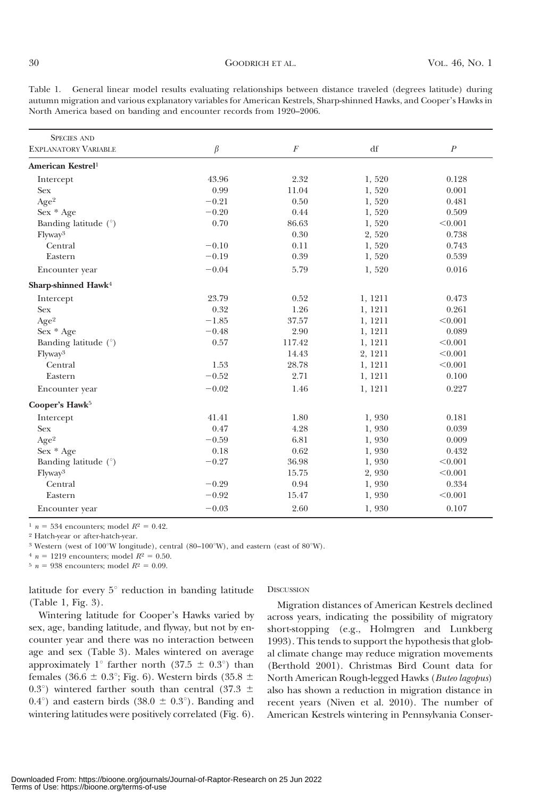| <b>SPECIES AND</b>              |         |          |         |                  |
|---------------------------------|---------|----------|---------|------------------|
| <b>EXPLANATORY VARIABLE</b>     | $\beta$ | $\cal F$ | df      | $\boldsymbol{P}$ |
| American Kestrel <sup>1</sup>   |         |          |         |                  |
| Intercept                       | 43.96   | 2.32     | 1,520   | 0.128            |
| Sex                             | 0.99    | 11.04    | 1,520   | 0.001            |
| Age <sup>2</sup>                | $-0.21$ | 0.50     | 1,520   | 0.481            |
| $Sex * Age$                     | $-0.20$ | 0.44     | 1,520   | 0.509            |
| Banding latitude $(°)$          | 0.70    | 86.63    | 1,520   | < 0.001          |
| Flyway <sup>3</sup>             |         | 0.30     | 2,520   | 0.738            |
| Central                         | $-0.10$ | 0.11     | 1,520   | 0.743            |
| Eastern                         | $-0.19$ | 0.39     | 1,520   | 0.539            |
| Encounter year                  | $-0.04$ | 5.79     | 1,520   | 0.016            |
| Sharp-shinned Hawk <sup>4</sup> |         |          |         |                  |
| Intercept                       | 23.79   | 0.52     | 1, 1211 | 0.473            |
| <b>Sex</b>                      | 0.32    | 1.26     | 1, 1211 | 0.261            |
| Age <sup>2</sup>                | $-1.85$ | 37.57    | 1, 1211 | < 0.001          |
| Sex * Age                       | $-0.48$ | 2.90     | 1, 1211 | 0.089            |
| Banding latitude (°)            | 0.57    | 117.42   | 1, 1211 | < 0.001          |
| Flyway <sup>3</sup>             |         | 14.43    | 2, 1211 | < 0.001          |
| Central                         | 1.53    | 28.78    | 1, 1211 | < 0.001          |
| Eastern                         | $-0.52$ | 2.71     | 1, 1211 | 0.100            |
| Encounter year                  | $-0.02$ | 1.46     | 1, 1211 | 0.227            |
| Cooper's Hawk <sup>5</sup>      |         |          |         |                  |
| Intercept                       | 41.41   | 1.80     | 1,930   | 0.181            |
| Sex                             | 0.47    | 4.28     | 1,930   | 0.039            |
| Age <sup>2</sup>                | $-0.59$ | 6.81     | 1,930   | 0.009            |
| Sex * Age                       | 0.18    | 0.62     | 1,930   | 0.432            |
| Banding latitude $(°)$          | $-0.27$ | 36.98    | 1,930   | < 0.001          |
| Flyway <sup>3</sup>             |         | 15.75    | 2,930   | < 0.001          |
| Central                         | $-0.29$ | 0.94     | 1,930   | 0.334            |
| Eastern                         | $-0.92$ | 15.47    | 1,930   | < 0.001          |
| Encounter year                  | $-0.03$ | 2.60     | 1,930   | 0.107            |

Table 1. General linear model results evaluating relationships between distance traveled (degrees latitude) during autumn migration and various explanatory variables for American Kestrels, Sharp-shinned Hawks, and Cooper's Hawks in North America based on banding and encounter records from 1920–2006.

 $1 n = 534$  encounters; model  $R^2 = 0.42$ .

<sup>2</sup> Hatch-year or after-hatch-year.

 $3$  Western (west of  $100^{\circ}$ W longitude), central (80- $100^{\circ}$ W), and eastern (east of  $80^{\circ}$ W).

 $4 n = 1219$  encounters; model  $R^2 = 0.50$ .

 $5 n = 938$  encounters; model  $R^2 = 0.09$ .

latitude for every  $5^\circ$  reduction in banding latitude (Table 1, Fig. 3).

#### **DISCUSSION**

Wintering latitude for Cooper's Hawks varied by sex, age, banding latitude, and flyway, but not by encounter year and there was no interaction between age and sex (Table 3). Males wintered on average approximately 1° farther north (37.5  $\pm$  0.3°) than females (36.6  $\pm$  0.3°; Fig. 6). Western birds (35.8  $\pm$ 0.3°) wintered farther south than central (37.3  $\pm$ 0.4°) and eastern birds (38.0  $\pm$  0.3°). Banding and wintering latitudes were positively correlated (Fig. 6).

Migration distances of American Kestrels declined across years, indicating the possibility of migratory short-stopping (e.g., Holmgren and Lunkberg 1993). This tends to support the hypothesis that global climate change may reduce migration movements (Berthold 2001). Christmas Bird Count data for North American Rough-legged Hawks (Buteo lagopus) also has shown a reduction in migration distance in recent years (Niven et al. 2010). The number of American Kestrels wintering in Pennsylvania Conser-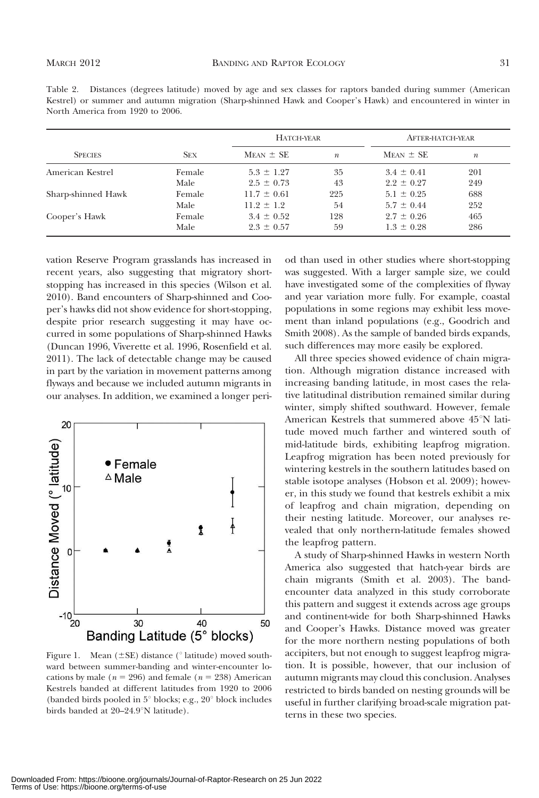|                    |            | HATCH-YEAR         |                  | AFTER-HATCH-YEAR |                  |
|--------------------|------------|--------------------|------------------|------------------|------------------|
| <b>SPECIES</b>     | <b>SEX</b> | $M_{EAN}$ $\pm$ SE | $\boldsymbol{n}$ | $MEAN \pm SE$    | $\boldsymbol{n}$ |
| American Kestrel   | Female     | $5.3 \pm 1.27$     | 35               | $3.4 \pm 0.41$   | 201              |
|                    | Male       | $2.5 \pm 0.73$     | 43               | $2.2 \pm 0.27$   | 249              |
| Sharp-shinned Hawk | Female     | $11.7 \pm 0.61$    | 225              | $5.1 \pm 0.25$   | 688              |
|                    | Male       | $11.2 \pm 1.2$     | 54               | $5.7 \pm 0.44$   | 252              |
| Cooper's Hawk      | Female     | $3.4 \pm 0.52$     | 128              | $2.7 \pm 0.26$   | 465              |
|                    | Male       | $2.3 \pm 0.57$     | 59               | $1.3 \pm 0.28$   | 286              |

Table 2. Distances (degrees latitude) moved by age and sex classes for raptors banded during summer (American Kestrel) or summer and autumn migration (Sharp-shinned Hawk and Cooper's Hawk) and encountered in winter in North America from 1920 to 2006.

vation Reserve Program grasslands has increased in recent years, also suggesting that migratory shortstopping has increased in this species (Wilson et al. 2010). Band encounters of Sharp-shinned and Cooper's hawks did not show evidence for short-stopping, despite prior research suggesting it may have occurred in some populations of Sharp-shinned Hawks (Duncan 1996, Viverette et al. 1996, Rosenfield et al. 2011). The lack of detectable change may be caused in part by the variation in movement patterns among flyways and because we included autumn migrants in our analyses. In addition, we examined a longer peri-



Figure 1. Mean  $(\pm SE)$  distance ( $\degree$  latitude) moved southward between summer-banding and winter-encounter locations by male ( $n = 296$ ) and female ( $n = 238$ ) American Kestrels banded at different latitudes from 1920 to 2006 (banded birds pooled in  $5^{\circ}$  blocks; e.g.,  $20^{\circ}$  block includes birds banded at 20-24.9°N latitude).

od than used in other studies where short-stopping was suggested. With a larger sample size, we could have investigated some of the complexities of flyway and year variation more fully. For example, coastal populations in some regions may exhibit less movement than inland populations (e.g., Goodrich and Smith 2008). As the sample of banded birds expands, such differences may more easily be explored.

All three species showed evidence of chain migration. Although migration distance increased with increasing banding latitude, in most cases the relative latitudinal distribution remained similar during winter, simply shifted southward. However, female American Kestrels that summered above  $45^{\circ}$ N latitude moved much farther and wintered south of mid-latitude birds, exhibiting leapfrog migration. Leapfrog migration has been noted previously for wintering kestrels in the southern latitudes based on stable isotope analyses (Hobson et al. 2009); however, in this study we found that kestrels exhibit a mix of leapfrog and chain migration, depending on their nesting latitude. Moreover, our analyses revealed that only northern-latitude females showed the leapfrog pattern.

A study of Sharp-shinned Hawks in western North America also suggested that hatch-year birds are chain migrants (Smith et al. 2003). The bandencounter data analyzed in this study corroborate this pattern and suggest it extends across age groups and continent-wide for both Sharp-shinned Hawks and Cooper's Hawks. Distance moved was greater for the more northern nesting populations of both accipiters, but not enough to suggest leapfrog migration. It is possible, however, that our inclusion of autumn migrants may cloud this conclusion. Analyses restricted to birds banded on nesting grounds will be useful in further clarifying broad-scale migration patterns in these two species.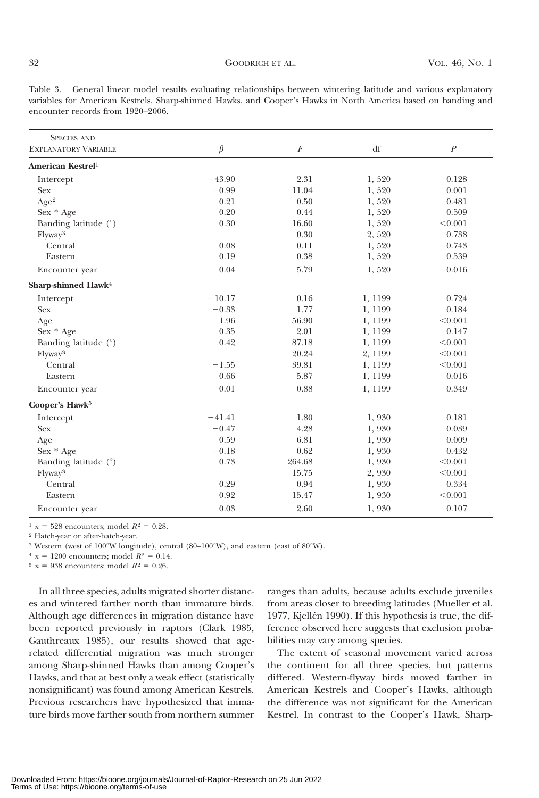| Table 3. General linear model results evaluating relationships between wintering latitude and various explanatory |  |  |  |  |  |
|-------------------------------------------------------------------------------------------------------------------|--|--|--|--|--|
| variables for American Kestrels, Sharp-shinned Hawks, and Cooper's Hawks in North America based on banding and    |  |  |  |  |  |
| encounter records from 1920–2006.                                                                                 |  |  |  |  |  |

| <b>SPECIES AND</b>              |          |                  |         |                  |
|---------------------------------|----------|------------------|---------|------------------|
| <b>EXPLANATORY VARIABLE</b>     | $\beta$  | $\boldsymbol{F}$ | df      | $\boldsymbol{P}$ |
| American Kestrel <sup>1</sup>   |          |                  |         |                  |
| Intercept                       | $-43.90$ | 2.31             | 1,520   | 0.128            |
| <b>Sex</b>                      | $-0.99$  | 11.04            | 1,520   | 0.001            |
| Age <sup>2</sup>                | 0.21     | 0.50             | 1,520   | 0.481            |
| $Sex * Age$                     | 0.20     | 0.44             | 1,520   | 0.509            |
| Banding latitude $(°)$          | 0.30     | 16.60            | 1,520   | < 0.001          |
| Flyway <sup>3</sup>             |          | 0.30             | 2,520   | 0.738            |
| Central                         | 0.08     | 0.11             | 1,520   | 0.743            |
| Eastern                         | 0.19     | 0.38             | 1,520   | 0.539            |
| Encounter year                  | 0.04     | 5.79             | 1,520   | 0.016            |
| Sharp-shinned Hawk <sup>4</sup> |          |                  |         |                  |
| Intercept                       | $-10.17$ | 0.16             | 1, 1199 | 0.724            |
| <b>Sex</b>                      | $-0.33$  | 1.77             | 1, 1199 | 0.184            |
| Age                             | 1.96     | 56.90            | 1, 1199 | < 0.001          |
| Sex * Age                       | 0.35     | 2.01             | 1, 1199 | 0.147            |
| Banding latitude $(°)$          | 0.42     | 87.18            | 1, 1199 | < 0.001          |
| Flyway <sup>3</sup>             |          | 20.24            | 2, 1199 | < 0.001          |
| Central                         | $-1.55$  | 39.81            | 1, 1199 | < 0.001          |
| Eastern                         | 0.66     | 5.87             | 1, 1199 | 0.016            |
| Encounter year                  | 0.01     | 0.88             | 1, 1199 | 0.349            |
| Cooper's Hawk <sup>5</sup>      |          |                  |         |                  |
| Intercept                       | $-41.41$ | 1.80             | 1,930   | 0.181            |
| <b>Sex</b>                      | $-0.47$  | 4.28             | 1,930   | 0.039            |
| Age                             | 0.59     | 6.81             | 1,930   | 0.009            |
| Sex * Age                       | $-0.18$  | 0.62             | 1,930   | 0.432            |
| Banding latitude (°)            | 0.73     | 264.68           | 1,930   | < 0.001          |
| Flyway <sup>3</sup>             |          | 15.75            | 2,930   | < 0.001          |
| Central                         | 0.29     | 0.94             | 1,930   | 0.334            |
| Eastern                         | 0.92     | 15.47            | 1,930   | < 0.001          |
| Encounter year                  | 0.03     | 2.60             | 1,930   | 0.107            |

 $1 n = 528$  encounters; model  $R^2 = 0.28$ .

<sup>2</sup> Hatch-year or after-hatch-year.

<sup>3</sup> Western (west of  $100^{\circ}$ W longitude), central (80–100°W), and eastern (east of 80°W).

 $4 n = 1200$  encounters; model  $R^2 = 0.14$ .

 $5 n = 938$  encounters; model  $R^2 = 0.26$ .

In all three species, adults migrated shorter distances and wintered farther north than immature birds. Although age differences in migration distance have been reported previously in raptors (Clark 1985, Gauthreaux 1985), our results showed that agerelated differential migration was much stronger among Sharp-shinned Hawks than among Cooper's Hawks, and that at best only a weak effect (statistically nonsignificant) was found among American Kestrels. Previous researchers have hypothesized that immature birds move farther south from northern summer ranges than adults, because adults exclude juveniles from areas closer to breeding latitudes (Mueller et al. 1977, Kjellén 1990). If this hypothesis is true, the difference observed here suggests that exclusion probabilities may vary among species.

The extent of seasonal movement varied across the continent for all three species, but patterns differed. Western-flyway birds moved farther in American Kestrels and Cooper's Hawks, although the difference was not significant for the American Kestrel. In contrast to the Cooper's Hawk, Sharp-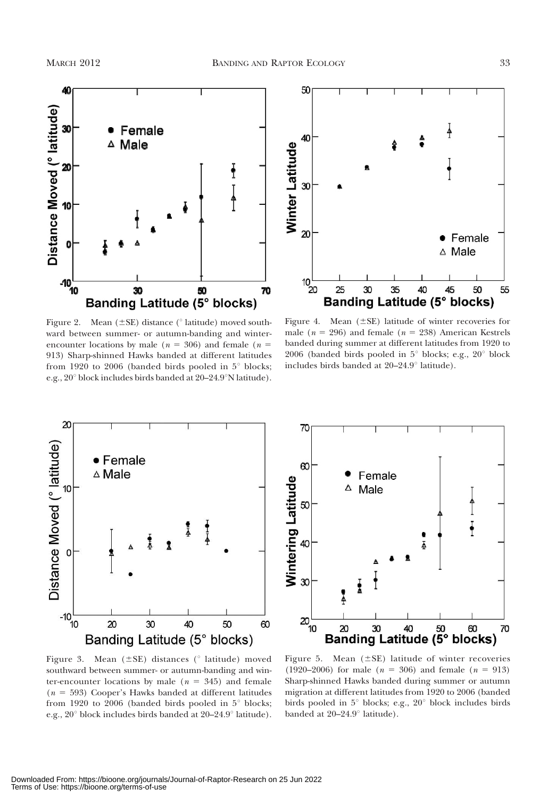



Figure 2. Mean ( $\pm$ SE) distance ( $\degree$  latitude) moved southward between summer- or autumn-banding and winterencounter locations by male ( $n = 306$ ) and female ( $n =$ 913) Sharp-shinned Hawks banded at different latitudes from 1920 to 2006 (banded birds pooled in  $5^\circ$  blocks; e.g., 20° block includes birds banded at 20–24.9°N latitude).

Figure 4. Mean  $(\pm SE)$  latitude of winter recoveries for male ( $n = 296$ ) and female ( $n = 238$ ) American Kestrels banded during summer at different latitudes from 1920 to 2006 (banded birds pooled in  $5^\circ$  blocks; e.g.,  $20^\circ$  block includes birds banded at 20–24.9° latitude).





Figure 3. Mean  $(\pm SE)$  distances ( $\degree$  latitude) moved southward between summer- or autumn-banding and winter-encounter locations by male ( $n = 345$ ) and female  $(n = 593)$  Cooper's Hawks banded at different latitudes from 1920 to 2006 (banded birds pooled in  $5^{\circ}$  blocks; e.g.,  $20^{\circ}$  block includes birds banded at  $20-24.9^{\circ}$  latitude).

Figure 5. Mean  $(\pm SE)$  latitude of winter recoveries (1920–2006) for male  $(n = 306)$  and female  $(n = 913)$ Sharp-shinned Hawks banded during summer or autumn migration at different latitudes from 1920 to 2006 (banded birds pooled in  $5^\circ$  blocks; e.g.,  $20^\circ$  block includes birds banded at  $20-24.9^{\circ}$  latitude).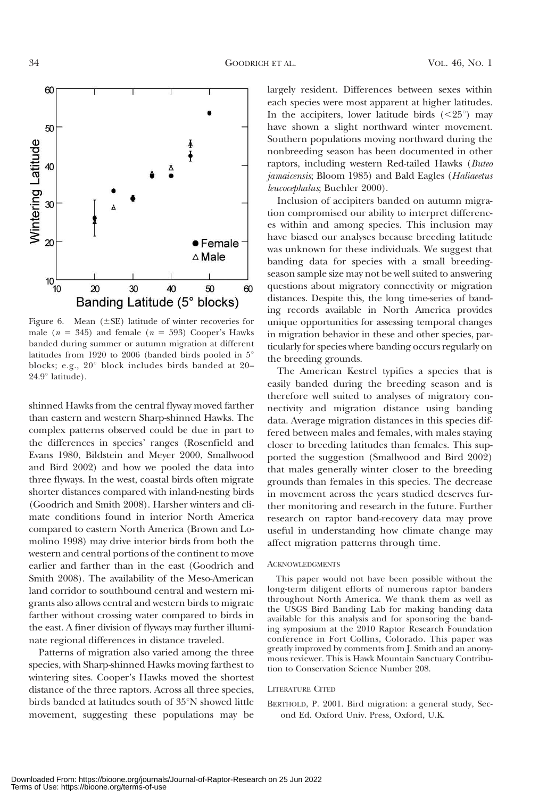

Figure 6. Mean  $(\pm SE)$  latitude of winter recoveries for male ( $n = 345$ ) and female ( $n = 593$ ) Cooper's Hawks banded during summer or autumn migration at different latitudes from 1920 to 2006 (banded birds pooled in  $5^\circ$ blocks; e.g.,  $20^{\circ}$  block includes birds banded at 20–  $24.9^\circ$  latitude).

shinned Hawks from the central flyway moved farther than eastern and western Sharp-shinned Hawks. The complex patterns observed could be due in part to the differences in species' ranges (Rosenfield and Evans 1980, Bildstein and Meyer 2000, Smallwood and Bird 2002) and how we pooled the data into three flyways. In the west, coastal birds often migrate shorter distances compared with inland-nesting birds (Goodrich and Smith 2008). Harsher winters and climate conditions found in interior North America compared to eastern North America (Brown and Lomolino 1998) may drive interior birds from both the western and central portions of the continent to move earlier and farther than in the east (Goodrich and Smith 2008). The availability of the Meso-American land corridor to southbound central and western migrants also allows central and western birds to migrate farther without crossing water compared to birds in the east. A finer division of flyways may further illuminate regional differences in distance traveled.

Patterns of migration also varied among the three species, with Sharp-shinned Hawks moving farthest to wintering sites. Cooper's Hawks moved the shortest distance of the three raptors. Across all three species, birds banded at latitudes south of  $35^{\circ}$ N showed little movement, suggesting these populations may be largely resident. Differences between sexes within each species were most apparent at higher latitudes. In the accipiters, lower latitude birds  $(<25^{\circ}$ ) may have shown a slight northward winter movement. Southern populations moving northward during the nonbreeding season has been documented in other raptors, including western Red-tailed Hawks (Buteo jamaicensis; Bloom 1985) and Bald Eagles (Haliaeetus leucocephalus; Buehler 2000).

Inclusion of accipiters banded on autumn migration compromised our ability to interpret differences within and among species. This inclusion may have biased our analyses because breeding latitude was unknown for these individuals. We suggest that banding data for species with a small breedingseason sample size may not be well suited to answering questions about migratory connectivity or migration distances. Despite this, the long time-series of banding records available in North America provides unique opportunities for assessing temporal changes in migration behavior in these and other species, particularly for species where banding occurs regularly on the breeding grounds.

The American Kestrel typifies a species that is easily banded during the breeding season and is therefore well suited to analyses of migratory connectivity and migration distance using banding data. Average migration distances in this species differed between males and females, with males staying closer to breeding latitudes than females. This supported the suggestion (Smallwood and Bird 2002) that males generally winter closer to the breeding grounds than females in this species. The decrease in movement across the years studied deserves further monitoring and research in the future. Further research on raptor band-recovery data may prove useful in understanding how climate change may affect migration patterns through time.

#### ACKNOWLEDGMENTS

This paper would not have been possible without the long-term diligent efforts of numerous raptor banders throughout North America. We thank them as well as the USGS Bird Banding Lab for making banding data available for this analysis and for sponsoring the banding symposium at the 2010 Raptor Research Foundation conference in Fort Collins, Colorado. This paper was greatly improved by comments from J. Smith and an anonymous reviewer. This is Hawk Mountain Sanctuary Contribution to Conservation Science Number 208.

#### LITERATURE CITED

BERTHOLD, P. 2001. Bird migration: a general study, Second Ed. Oxford Univ. Press, Oxford, U.K.